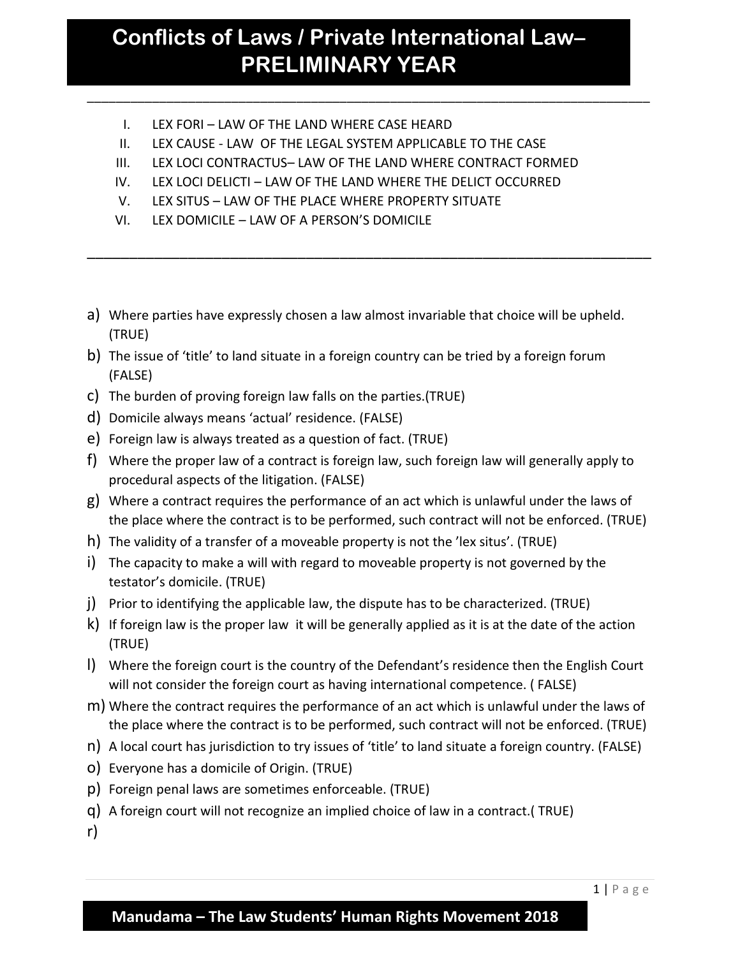\_\_\_\_\_\_\_\_\_\_\_\_\_\_\_\_\_\_\_\_\_\_\_\_\_\_\_\_\_\_\_\_\_\_\_\_\_\_\_\_\_\_\_\_\_\_\_\_\_\_\_\_\_\_\_\_\_\_\_\_\_\_\_\_\_\_\_\_\_\_\_\_\_\_\_\_\_\_

- I. LEX FORI LAW OF THE LAND WHERE CASE HEARD
- II. LEX CAUSE LAW OF THE LEGAL SYSTEM APPLICABLE TO THE CASE
- III. LEX LOCI CONTRACTUS– LAW OF THE LAND WHERE CONTRACT FORMED
- IV. LEX LOCI DELICTI LAW OF THE LAND WHERE THE DELICT OCCURRED
- V. LEX SITUS LAW OF THE PLACE WHERE PROPERTY SITUATE
- VI. LEX DOMICILE LAW OF A PERSON'S DOMICILE
- a) Where parties have expressly chosen a law almost invariable that choice will be upheld. (TRUE)

\_\_\_\_\_\_\_\_\_\_\_\_\_\_\_\_\_\_\_\_\_\_\_\_\_\_\_\_\_\_\_\_\_\_\_\_\_\_\_\_\_\_\_\_\_\_\_\_\_\_\_\_\_\_\_\_\_\_\_\_\_\_\_\_\_\_\_

- b) The issue of 'title' to land situate in a foreign country can be tried by a foreign forum (FALSE)
- c) The burden of proving foreign law falls on the parties.(TRUE)
- d) Domicile always means 'actual' residence. (FALSE)
- e) Foreign law is always treated as a question of fact. (TRUE)
- f) Where the proper law of a contract is foreign law, such foreign law will generally apply to procedural aspects of the litigation. (FALSE)
- g) Where a contract requires the performance of an act which is unlawful under the laws of the place where the contract is to be performed, such contract will not be enforced. (TRUE)
- h) The validity of a transfer of a moveable property is not the 'lex situs'. (TRUE)
- i) The capacity to make a will with regard to moveable property is not governed by the testator's domicile. (TRUE)
- j) Prior to identifying the applicable law, the dispute has to be characterized. (TRUE)
- k) If foreign law is the proper law it will be generally applied as it is at the date of the action (TRUE)
- l) Where the foreign court is the country of the Defendant's residence then the English Court will not consider the foreign court as having international competence. ( FALSE)
- m) Where the contract requires the performance of an act which is unlawful under the laws of the place where the contract is to be performed, such contract will not be enforced. (TRUE)
- n) A local court has jurisdiction to try issues of 'title' to land situate a foreign country. (FALSE)
- o) Everyone has a domicile of Origin. (TRUE)
- p) Foreign penal laws are sometimes enforceable. (TRUE)
- q) A foreign court will not recognize an implied choice of law in a contract.( TRUE)

r)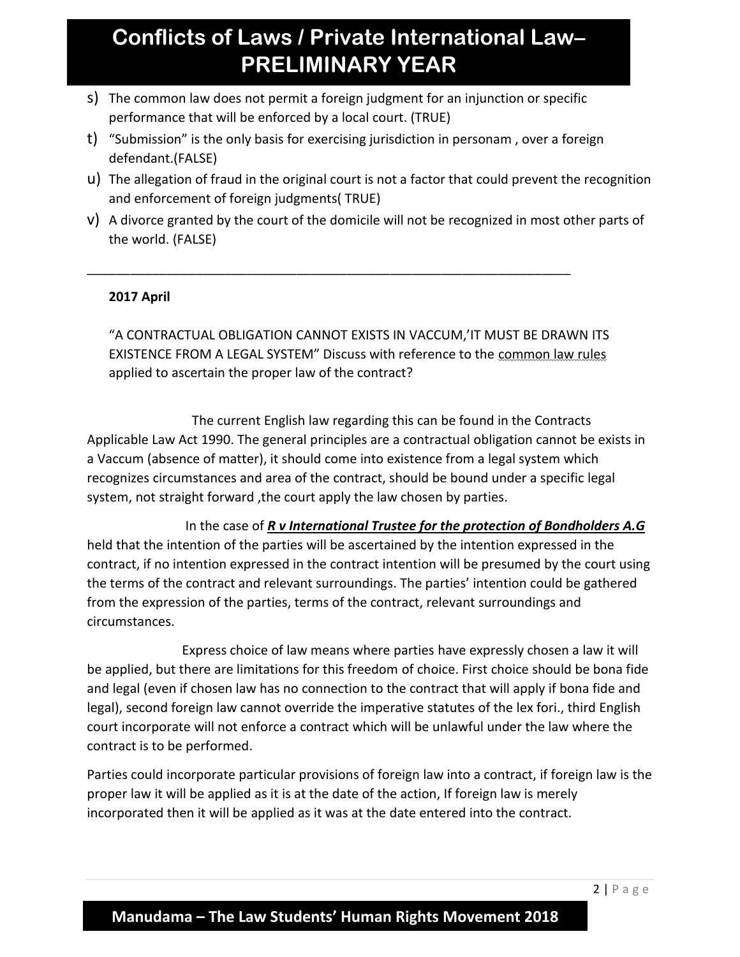s) The common law does not permit a foreign judgment for an injunction or specific performance that will be enforced by a local court. (TRUE)

\_\_\_\_\_\_\_\_\_\_\_\_\_\_\_\_\_\_\_\_\_\_\_\_\_\_\_\_\_\_\_\_\_\_\_\_\_\_\_\_\_\_\_\_\_\_\_\_\_\_\_\_\_\_\_\_\_\_\_\_\_\_\_\_\_\_\_

- t) "Submission" is the only basis for exercising jurisdiction in personam , over a foreign defendant.(FALSE)
- u) The allegation of fraud in the original court is not a factor that could prevent the recognition and enforcement of foreign judgments( TRUE)
- v) A divorce granted by the court of the domicile will not be recognized in most other parts of the world. (FALSE)

#### **2017 April**

"A CONTRACTUAL OBLIGATION CANNOT EXISTS IN VACCUM,'IT MUST BE DRAWN ITS EXISTENCE FROM A LEGAL SYSTEM" Discuss with reference to the common law rules applied to ascertain the proper law of the contract?

 The current English law regarding this can be found in the Contracts Applicable Law Act 1990. The general principles are a contractual obligation cannot be exists in a Vaccum (absence of matter), it should come into existence from a legal system which recognizes circumstances and area of the contract, should be bound under a specific legal system, not straight forward, the court apply the law chosen by parties.

 In the case of *R v International Trustee for the protection of Bondholders A.G*  held that the intention of the parties will be ascertained by the intention expressed in the contract, if no intention expressed in the contract intention will be presumed by the court using the terms of the contract and relevant surroundings. The parties' intention could be gathered from the expression of the parties, terms of the contract, relevant surroundings and circumstances.

 Express choice of law means where parties have expressly chosen a law it will be applied, but there are limitations for this freedom of choice. First choice should be bona fide and legal (even if chosen law has no connection to the contract that will apply if bona fide and legal), second foreign law cannot override the imperative statutes of the lex fori., third English court incorporate will not enforce a contract which will be unlawful under the law where the contract is to be performed.

Parties could incorporate particular provisions of foreign law into a contract, if foreign law is the proper law it will be applied as it is at the date of the action, If foreign law is merely incorporated then it will be applied as it was at the date entered into the contract.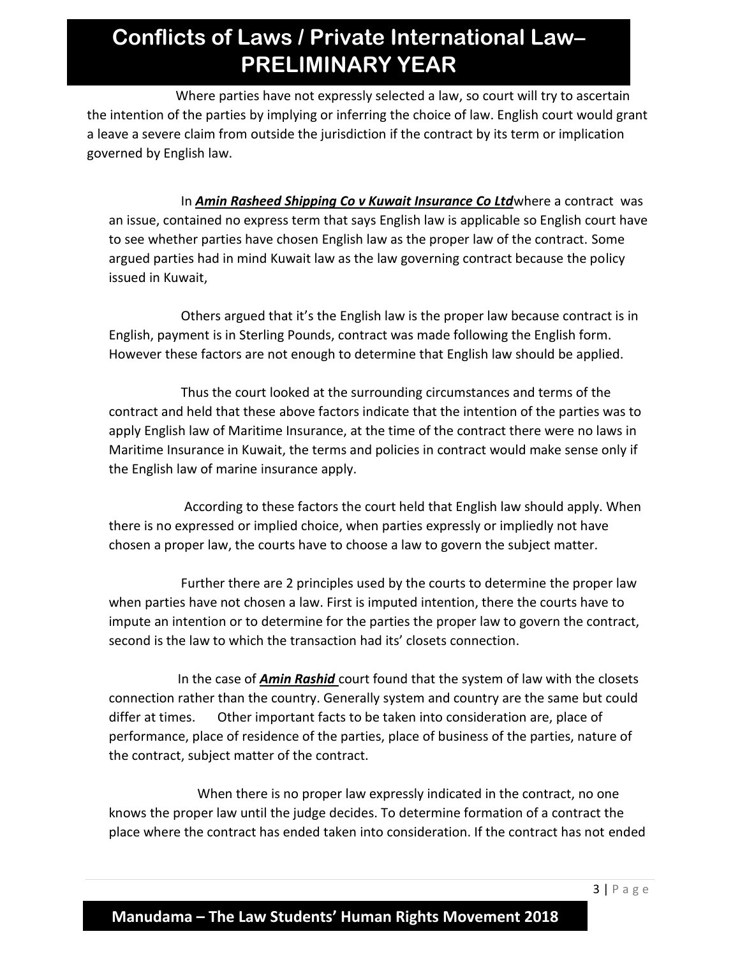Where parties have not expressly selected a law, so court will try to ascertain the intention of the parties by implying or inferring the choice of law. English court would grant a leave a severe claim from outside the jurisdiction if the contract by its term or implication governed by English law.

 In *Amin Rasheed Shipping Co v Kuwait Insurance Co Ltd*where a contract was an issue, contained no express term that says English law is applicable so English court have to see whether parties have chosen English law as the proper law of the contract. Some argued parties had in mind Kuwait law as the law governing contract because the policy issued in Kuwait,

 Others argued that it's the English law is the proper law because contract is in English, payment is in Sterling Pounds, contract was made following the English form. However these factors are not enough to determine that English law should be applied.

 Thus the court looked at the surrounding circumstances and terms of the contract and held that these above factors indicate that the intention of the parties was to apply English law of Maritime Insurance, at the time of the contract there were no laws in Maritime Insurance in Kuwait, the terms and policies in contract would make sense only if the English law of marine insurance apply.

 According to these factors the court held that English law should apply. When there is no expressed or implied choice, when parties expressly or impliedly not have chosen a proper law, the courts have to choose a law to govern the subject matter.

 Further there are 2 principles used by the courts to determine the proper law when parties have not chosen a law. First is imputed intention, there the courts have to impute an intention or to determine for the parties the proper law to govern the contract, second is the law to which the transaction had its' closets connection.

 In the case of *Amin Rashid* court found that the system of law with the closets connection rather than the country. Generally system and country are the same but could differ at times. Other important facts to be taken into consideration are, place of performance, place of residence of the parties, place of business of the parties, nature of the contract, subject matter of the contract.

 When there is no proper law expressly indicated in the contract, no one knows the proper law until the judge decides. To determine formation of a contract the place where the contract has ended taken into consideration. If the contract has not ended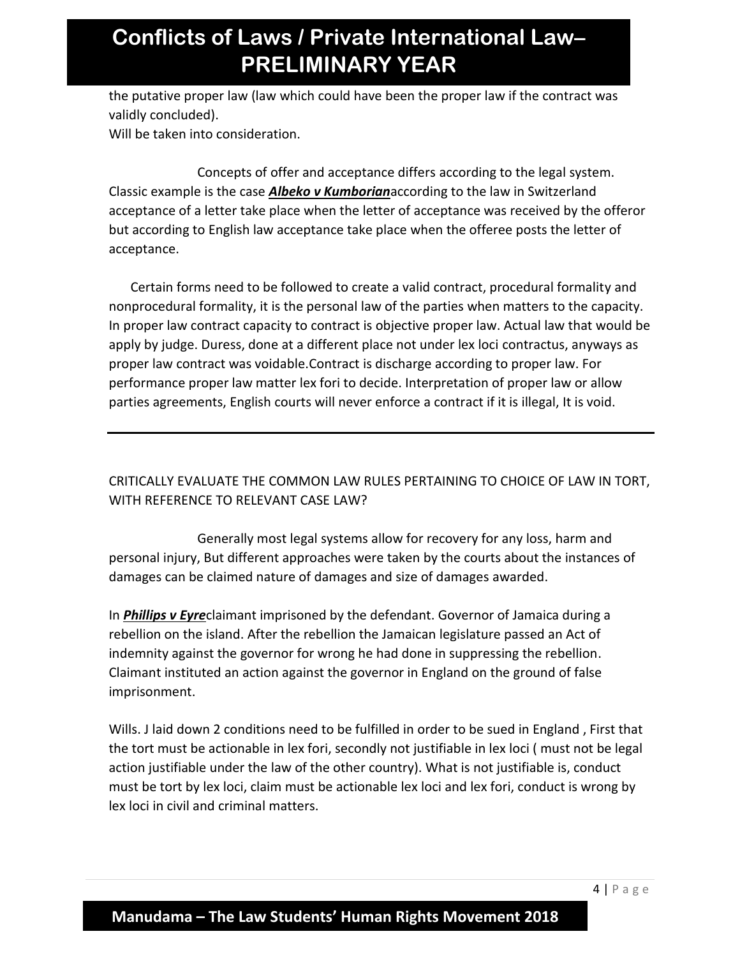the putative proper law (law which could have been the proper law if the contract was validly concluded).

Will be taken into consideration.

 Concepts of offer and acceptance differs according to the legal system. Classic example is the case *Albeko v Kumborian*according to the law in Switzerland acceptance of a letter take place when the letter of acceptance was received by the offeror but according to English law acceptance take place when the offeree posts the letter of acceptance.

Certain forms need to be followed to create a valid contract, procedural formality and nonprocedural formality, it is the personal law of the parties when matters to the capacity. In proper law contract capacity to contract is objective proper law. Actual law that would be apply by judge. Duress, done at a different place not under lex loci contractus, anyways as proper law contract was voidable.Contract is discharge according to proper law. For performance proper law matter lex fori to decide. Interpretation of proper law or allow parties agreements, English courts will never enforce a contract if it is illegal, It is void.

CRITICALLY EVALUATE THE COMMON LAW RULES PERTAINING TO CHOICE OF LAW IN TORT, WITH REFERENCE TO RELEVANT CASE LAW?

 Generally most legal systems allow for recovery for any loss, harm and personal injury, But different approaches were taken by the courts about the instances of damages can be claimed nature of damages and size of damages awarded.

In *Phillips v Eyre*claimant imprisoned by the defendant. Governor of Jamaica during a rebellion on the island. After the rebellion the Jamaican legislature passed an Act of indemnity against the governor for wrong he had done in suppressing the rebellion. Claimant instituted an action against the governor in England on the ground of false imprisonment.

Wills. J laid down 2 conditions need to be fulfilled in order to be sued in England , First that the tort must be actionable in lex fori, secondly not justifiable in lex loci ( must not be legal action justifiable under the law of the other country). What is not justifiable is, conduct must be tort by lex loci, claim must be actionable lex loci and lex fori, conduct is wrong by lex loci in civil and criminal matters.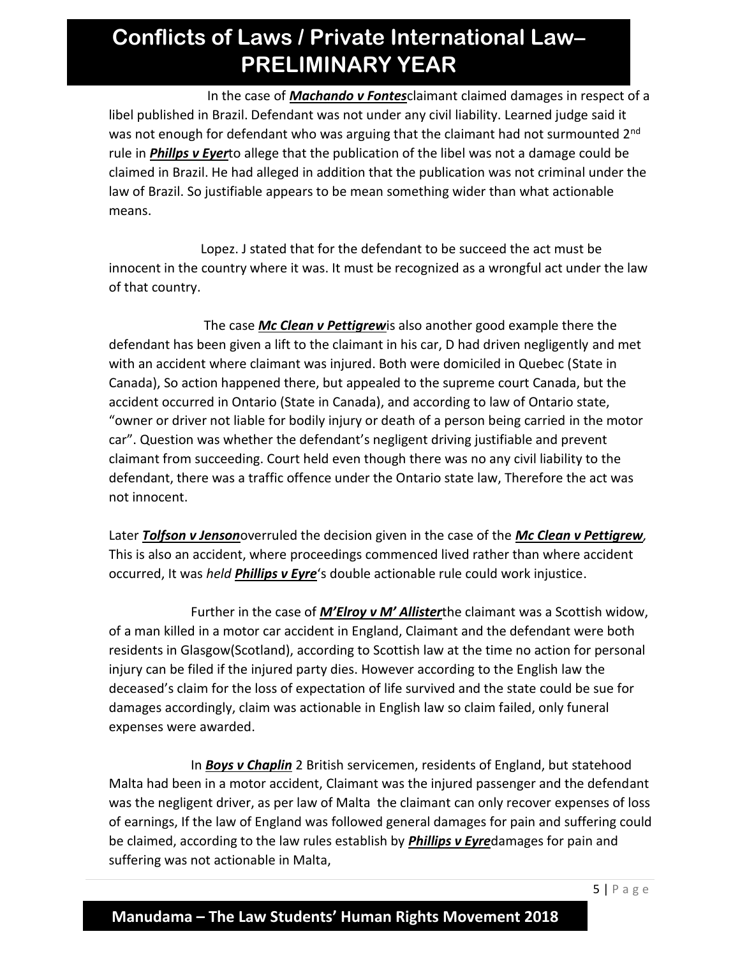In the case of *Machando v Fontes*claimant claimed damages in respect of a libel published in Brazil. Defendant was not under any civil liability. Learned judge said it was not enough for defendant who was arguing that the claimant had not surmounted 2<sup>nd</sup> rule in *Phillps v Eyer*to allege that the publication of the libel was not a damage could be claimed in Brazil. He had alleged in addition that the publication was not criminal under the law of Brazil. So justifiable appears to be mean something wider than what actionable means.

 Lopez. J stated that for the defendant to be succeed the act must be innocent in the country where it was. It must be recognized as a wrongful act under the law of that country.

 The case *Mc Clean v Pettigrew*is also another good example there the defendant has been given a lift to the claimant in his car, D had driven negligently and met with an accident where claimant was injured. Both were domiciled in Quebec (State in Canada), So action happened there, but appealed to the supreme court Canada, but the accident occurred in Ontario (State in Canada), and according to law of Ontario state, "owner or driver not liable for bodily injury or death of a person being carried in the motor car". Question was whether the defendant's negligent driving justifiable and prevent claimant from succeeding. Court held even though there was no any civil liability to the defendant, there was a traffic offence under the Ontario state law, Therefore the act was not innocent.

Later *Tolfson v Jenson*overruled the decision given in the case of the *Mc Clean v Pettigrew,* This is also an accident, where proceedings commenced lived rather than where accident occurred, It was *held Phillips v Eyre*'s double actionable rule could work injustice.

 Further in the case of *M'Elroy v M' Allister*the claimant was a Scottish widow, of a man killed in a motor car accident in England, Claimant and the defendant were both residents in Glasgow(Scotland), according to Scottish law at the time no action for personal injury can be filed if the injured party dies. However according to the English law the deceased's claim for the loss of expectation of life survived and the state could be sue for damages accordingly, claim was actionable in English law so claim failed, only funeral expenses were awarded.

 In *Boys v Chaplin* 2 British servicemen, residents of England, but statehood Malta had been in a motor accident, Claimant was the injured passenger and the defendant was the negligent driver, as per law of Malta the claimant can only recover expenses of loss of earnings, If the law of England was followed general damages for pain and suffering could be claimed, according to the law rules establish by *Phillips v Eyre*damages for pain and suffering was not actionable in Malta,